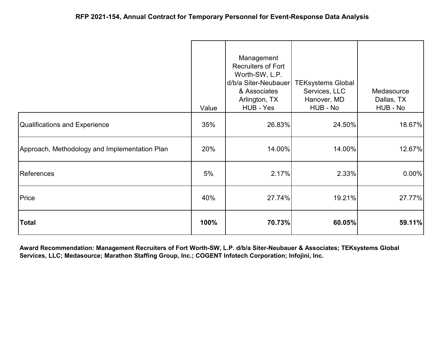|                                               | Value | Management<br><b>Recruiters of Fort</b><br>Worth-SW, L.P.<br>d/b/a Siter-Neubauer<br>& Associates<br>Arlington, TX<br>HUB - Yes | <b>TEKsystems Global</b><br>Services, LLC<br>Hanover, MD<br>HUB - No | Medasource<br>Dallas, TX<br>HUB - No |
|-----------------------------------------------|-------|---------------------------------------------------------------------------------------------------------------------------------|----------------------------------------------------------------------|--------------------------------------|
| <b>Qualifications and Experience</b>          | 35%   | 26.83%                                                                                                                          | 24.50%                                                               | 18.67%                               |
| Approach, Methodology and Implementation Plan | 20%   | 14.00%                                                                                                                          | 14.00%                                                               | 12.67%                               |
| References                                    | 5%    | 2.17%                                                                                                                           | 2.33%                                                                | $0.00\%$                             |
| Price                                         | 40%   | 27.74%                                                                                                                          | 19.21%                                                               | 27.77%                               |
| <b>Total</b>                                  | 100%  | 70.73%                                                                                                                          | 60.05%                                                               | 59.11%                               |

**Award Recommendation: Management Recruiters of Fort Worth-SW, L.P. d/b/a Siter-Neubauer & Associates; TEKsystems Global Services, LLC; Medasource; Marathon Staffing Group, Inc.; COGENT Infotech Corporation; Infojini, Inc.**